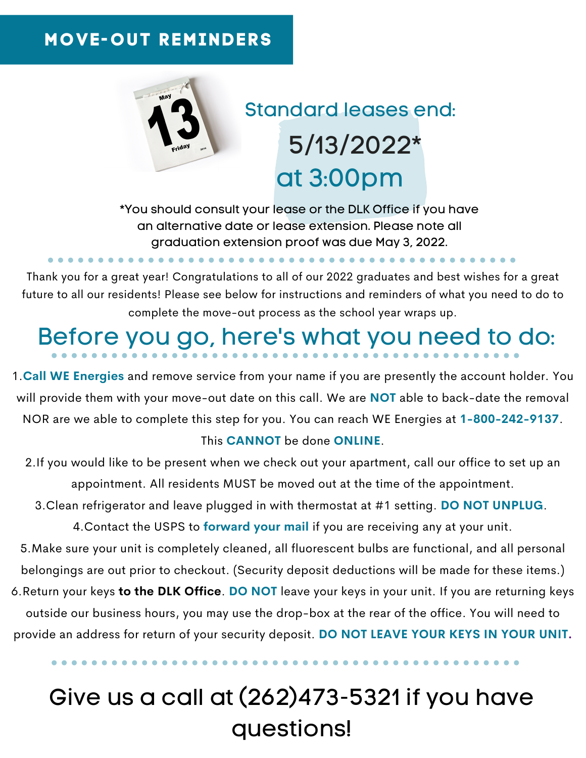## **MOVE-OUT REMINDERS**



## Standard leases end: at 3:00pm 5/13/2022\*

\*You should consult your lease or the DLK Office if you have an alternative date or lease extension. Please note all graduation extension proof was due May 3, 2022.

Thank you for a great year! Congratulations to all of our 2022 graduates and best wishes for a great future to all our residents! Please see below for instructions and reminders of what you need to do to complete the move-out process as the school year wraps up.

# Before you go, here's what you need to do:

1.**Call WE Energies** and remove service from your name if you are presently the account holder. You will provide them with your move-out date on this call. We are **NOT** able to back-date the removal NOR are we able to complete this step for you. You can reach WE Energies at **1-800-242-9137**.

#### This **CANNOT** be done **ONLINE**.

2.If you would like to be present when we check out your apartment, call our office to set up an appointment. All residents MUST be moved out at the time of the appointment.

3.Clean refrigerator and leave plugged in with thermostat at #1 setting. **DO NOT UNPLUG**.

4.Contact the USPS to **forward your mail** if you are receiving any at your unit.

5.Make sure your unit is completely cleaned, all fluorescent bulbs are functional, and all personal belongings are out prior to checkout. (Security deposit deductions will be made for these items.)

6.Return your keys **to the DLK Office**. **DO NOT** leave your keys in your unit. If you are returning keys outside our business hours, you may use the drop-box at the rear of the office. You will need to provide an address for return of your security deposit. **DO NOT LEAVE YOUR KEYS IN YOUR UNIT.**

## Give us a call at (262)473-5321 if you have questions!